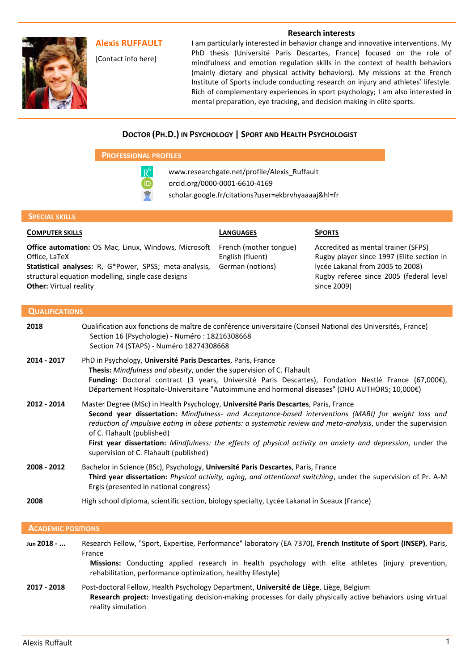**Alexis RUFFAULT**

[Contact info here]

I am particularly interested in behavior change and innovative interventions. My PhD thesis (Université Paris Descartes, France) focused on the role of mindfulness and emotion regulation skills in the context of health behaviors (mainly dietary and physical activity behaviors). My missions at the French Institute of Sports include conducting research on injury and athletes' lifestyle. Rich of complementary experiences in sport psychology; I am also interested in mental preparation, eye tracking, and decision making in elite sports.

**SPORTS**

since 2009)

**Research interests**

# **DOCTOR (PH.D.) IN PSYCHOLOGY | SPORT AND HEALTH PSYCHOLOGIST**



www.researchgate.net/profile/Alexis\_Ruffault

**LANGUAGES**

- orcid.org/0000-0001-6610-4169
	- scholar.google.fr/citations?user=ekbrvhyaaaaj&hl=fr

### **SPECIAL SKILLS**

### **COMPUTER SKILLS**

**Office automation:** OS Mac, Linux, Windows, Microsoft Office, LaTeX **Statistical analyses:** R, G\*Power, SPSS; meta-analysis, structural equation modelling, single case designs **Other:** Virtual reality

French (mother tongue) English (fluent) German (notions)

## Accredited as mental trainer (SFPS) Rugby player since 1997 (Elite section in lycée Lakanal from 2005 to 2008) Rugby referee since 2005 (federal level

# **QUALIFICATIONS 2018** Qualification aux fonctions de maître de conférence universitaire (Conseil National des Universités, France) Section 16 (Psychologie) - Numéro : 18216308668 Section 74 (STAPS) - Numéro 18274308668 **2014 - 2017** PhD in Psychology, **Université Paris Descartes**, Paris, France **Thesis:** *Mindfulness and obesity*, under the supervision of C. Flahault **Funding:** Doctoral contract (3 years, Université Paris Descartes), Fondation Nestlé France (67,000€), Département Hospitalo-Universitaire "Autoimmune and hormonal diseases" (DHU AUTHORS; 10,000€) **2012 - 2014** Master Degree (MSc) in Health Psychology, **Université Paris Descartes**, Paris, France **Second year dissertation:** *Mindfulness- and Acceptance-based interventions (MABI) for weight loss and reduction of impulsive eating in obese patients: a systematic review and meta-analysis*, under the supervision of C. Flahault (published) **First year dissertation:** *Mindfulness: the effects of physical activity on anxiety and depression*, under the supervision of C. Flahault (published) **2008 - 2012** Bachelor in Science (BSc), Psychology, **Université Paris Descartes**, Paris, France **Third year dissertation:** *Physical activity, aging, and attentional switching*, under the supervision of Pr. A-M Ergis (presented in national congress) **2008** High school diploma, scientific section, biology specialty, Lycée Lakanal in Sceaux (France)

# **Jun 2018 - ...** Research Fellow, "Sport, Expertise, Performance" laboratory (EA 7370), **French Institute of Sport (INSEP)**, Paris, France **Missions:** Conducting applied research in health psychology with elite athletes (injury prevention, rehabilitation, performance optimization, healthy lifestyle) **2017 - 2018** Post-doctoral Fellow, Health Psychology Department, **Université de Liège**, Liège, Belgium **Research project:** Investigating decision-making processes for daily physically active behaviors using virtual reality simulation

**ACADEMIC POSITIONS**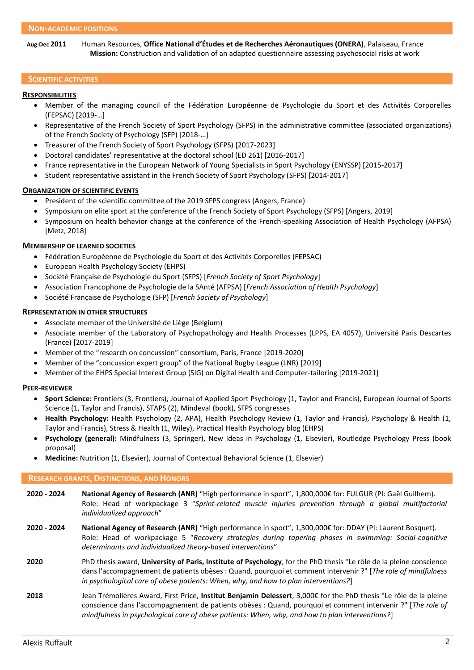**Aug-Dec 2011** Human Resources, **Office National d'Études et de Recherches Aéronautiques (ONERA)**, Palaiseau, France **Mission:** Construction and validation of an adapted questionnaire assessing psychosocial risks at work

#### **SCIENTIFIC ACTIVITIES**

#### **RESPONSIBILITIES**

- Member of the managing council of the Fédération Européenne de Psychologie du Sport et des Activités Corporelles (FEPSAC) [2019-…]
- Representative of the French Society of Sport Psychology (SFPS) in the administrative committee (associated organizations) of the French Society of Psychology (SFP) [2018-…]
- Treasurer of the French Society of Sport Psychology (SFPS) [2017-2023]
- Doctoral candidates' representative at the doctoral school (ED 261) [2016-2017]
- France representative in the European Network of Young Specialists in Sport Psychology (ENYSSP) [2015-2017]
- Student representative assistant in the French Society of Sport Psychology (SFPS) [2014-2017]

#### **ORGANIZATION OF SCIENTIFIC EVENTS**

- President of the scientific committee of the 2019 SFPS congress (Angers, France)
- Symposium on elite sport at the conference of the French Society of Sport Psychology (SFPS) [Angers, 2019]
- Symposium on health behavior change at the conference of the French-speaking Association of Health Psychology (AFPSA) [Metz, 2018]

#### **MEMBERSHIP OF LEARNED SOCIETIES**

- Fédération Européenne de Psychologie du Sport et des Activités Corporelles (FEPSAC)
- European Health Psychology Society (EHPS)
- Société Française de Psychologie du Sport (SFPS) [*French Society of Sport Psychology*]
- Association Francophone de Psychologie de la SAnté (AFPSA) [*French Association of Health Psychology*]
- Société Française de Psychologie (SFP) [*French Society of Psychology*]

#### **REPRESENTATION IN OTHER STRUCTURES**

- Associate member of the Université de Liège (Belgium)
- Associate member of the Laboratory of Psychopathology and Health Processes (LPPS, EA 4057), Université Paris Descartes (France) [2017-2019]
- Member of the "research on concussion" consortium, Paris, France [2019-2020]
- Member of the "concussion expert group" of the National Rugby League (LNR) [2019]
- Member of the EHPS Special Interest Group (SIG) on Digital Health and Computer-tailoring [2019-2021]

#### **PEER-REVIEWER**

- **Sport Science:** Frontiers (3, Frontiers), Journal of Applied Sport Psychology (1, Taylor and Francis), European Journal of Sports Science (1, Taylor and Francis), STAPS (2), Mindeval (book), SFPS congresses
- **Health Psychology:** Health Psychology (2, APA), Health Psychology Review (1, Taylor and Francis), Psychology & Health (1, Taylor and Francis), Stress & Health (1, Wiley), Practical Health Psychology blog (EHPS)
- **Psychology (general):** Mindfulness (3, Springer), New Ideas in Psychology (1, Elsevier), Routledge Psychology Press (book proposal)
- **Medicine:** Nutrition (1, Elsevier), Journal of Contextual Behavioral Science (1, Elsevier)

#### **RESEARCH GRANTS, DISTINCTIONS, AND HONORS**

- **2020 - 2024 National Agency of Research (ANR)** "High performance in sport", 1,800,000€ for: FULGUR (PI: Gaël Guilhem). Role: Head of workpackage 3 "*Sprint-related muscle injuries prevention through a global multifactorial individualized approach*"
- **2020 - 2024 National Agency of Research (ANR)** "High performance in sport", 1,300,000€ for: DDAY (PI: Laurent Bosquet). Role: Head of workpackage 5 "*Recovery strategies during tapering phases in swimming: Social-cognitive determinants and individualized theory-based interventions*"
- **2020** PhD thesis award, **University of Paris, Institute of Psychology**, for the PhD thesis "Le rôle de la pleine conscience dans l'accompagnement de patients obèses : Quand, pourquoi et comment intervenir ?" [*The role of mindfulness in psychological care of obese patients: When, why, and how to plan interventions?*]
- **2018** Jean Trémolières Award, First Price, **Institut Benjamin Delessert**, 3,000€ for the PhD thesis "Le rôle de la pleine conscience dans l'accompagnement de patients obèses : Quand, pourquoi et comment intervenir ?" [*The role of mindfulness in psychological care of obese patients: When, why, and how to plan interventions?*]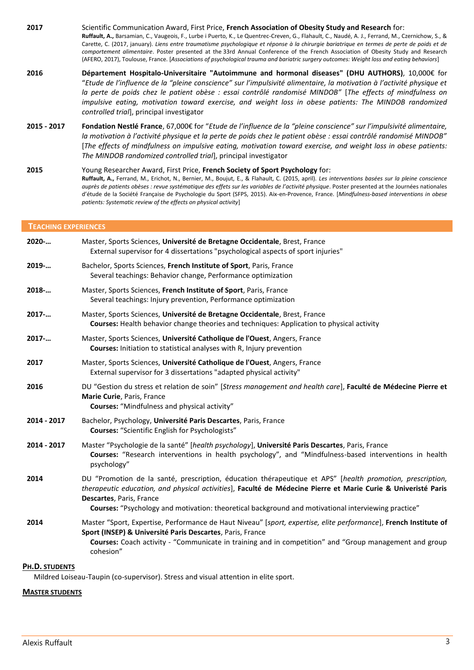**2017** Scientific Communication Award, First Price, **French Association of Obesity Study and Research** for: **Ruffault, A.,** Barsamian, C., Vaugeois, F., Lurbe i Puerto, K., Le Quentrec-Creven, G., Flahault, C., Naudé, A. J., Ferrand, M., Czernichow, S., & Carette, C. (2017, january). *Liens entre traumatisme psychologique et réponse à la chirurgie bariatrique en termes de perte de poids et de comportement alimentaire*. Poster presented at the 33rd Annual Conference of the French Association of Obesity Study and Research (AFERO, 2017), Toulouse, France. [*Associations of psychological trauma and bariatric surgery outcomes: Weight loss and eating behaviors*]

- **2016 Département Hospitalo-Universitaire "Autoimmune and hormonal diseases" (DHU AUTHORS)**, 10,000€ for "*Etude de l'influence de la "pleine conscience" sur l'impulsivité alimentaire, la motivation à l'activité physique et*  la perte de poids chez le patient obèse : essai contrôlé randomisé MINDOB" [The effects of mindfulness on *impulsive eating, motivation toward exercise, and weight loss in obese patients: The MINDOB randomized controlled trial*], principal investigator
- **2015 - 2017 Fondation Nestlé France**, 67,000€ for "*Etude de l'influence de la "pleine conscience" sur l'impulsivité alimentaire, la motivation à l'activité physique et la perte de poids chez le patient obèse : essai contrôlé randomisé MINDOB"* [*The effects of mindfulness on impulsive eating, motivation toward exercise, and weight loss in obese patients: The MINDOB randomized controlled trial*], principal investigator
- **2015** Young Researcher Award, First Price, **French Society of Sport Psychology** for: **Ruffault, A.,** Ferrand, M., Erichot, N., Bernier, M., Boujut, E., & Flahault, C. (2015, april). *Les interventions basées sur la pleine conscience auprès de patients obèses : revue systématique des effets sur les variables de l'activité physique*. Poster presented at the Journées nationales d'étude de la Société Française de Psychologie du Sport (SFPS, 2015). Aix-en-Provence, France. [*Mindfulness-based interventions in obese patients: Systematic review of the effects on physical activity*]

### **TEACHING EXPERIENCES**

| 2020-       | Master, Sports Sciences, Université de Bretagne Occidentale, Brest, France<br>External supervisor for 4 dissertations "psychological aspects of sport injuries"                                                                                                                                                                                               |
|-------------|---------------------------------------------------------------------------------------------------------------------------------------------------------------------------------------------------------------------------------------------------------------------------------------------------------------------------------------------------------------|
| 2019-       | Bachelor, Sports Sciences, French Institute of Sport, Paris, France<br>Several teachings: Behavior change, Performance optimization                                                                                                                                                                                                                           |
| $2018-$     | Master, Sports Sciences, French Institute of Sport, Paris, France<br>Several teachings: Injury prevention, Performance optimization                                                                                                                                                                                                                           |
| 2017-       | Master, Sports Sciences, Université de Bretagne Occidentale, Brest, France<br>Courses: Health behavior change theories and techniques: Application to physical activity                                                                                                                                                                                       |
| $2017-$     | Master, Sports Sciences, Université Catholique de l'Ouest, Angers, France<br>Courses: Initiation to statistical analyses with R, Injury prevention                                                                                                                                                                                                            |
| 2017        | Master, Sports Sciences, Université Catholique de l'Ouest, Angers, France<br>External supervisor for 3 dissertations "adapted physical activity"                                                                                                                                                                                                              |
| 2016        | DU "Gestion du stress et relation de soin" [Stress management and health care], Faculté de Médecine Pierre et<br>Marie Curie, Paris, France<br><b>Courses:</b> "Mindfulness and physical activity"                                                                                                                                                            |
| 2014 - 2017 | Bachelor, Psychology, Université Paris Descartes, Paris, France<br><b>Courses: "Scientific English for Psychologists"</b>                                                                                                                                                                                                                                     |
| 2014 - 2017 | Master "Psychologie de la santé" [health psychology], Université Paris Descartes, Paris, France<br>Courses: "Research interventions in health psychology", and "Mindfulness-based interventions in health<br>psychology"                                                                                                                                      |
| 2014        | DU "Promotion de la santé, prescription, éducation thérapeutique et APS" [health promotion, prescription,<br>therapeutic education, and physical activities], Faculté de Médecine Pierre et Marie Curie & Univeristé Paris<br>Descartes, Paris, France<br>Courses: "Psychology and motivation: theoretical background and motivational interviewing practice" |
| 2014        | Master "Sport, Expertise, Performance de Haut Niveau" [sport, expertise, elite performance], French Institute of<br>Sport (INSEP) & Université Paris Descartes, Paris, France<br>Courses: Coach activity - "Communicate in training and in competition" and "Group management and group<br>cohesion"                                                          |

#### **PH.D. STUDENTS**

Mildred Loiseau-Taupin (co-supervisor). Stress and visual attention in elite sport.

### **MASTER STUDENTS**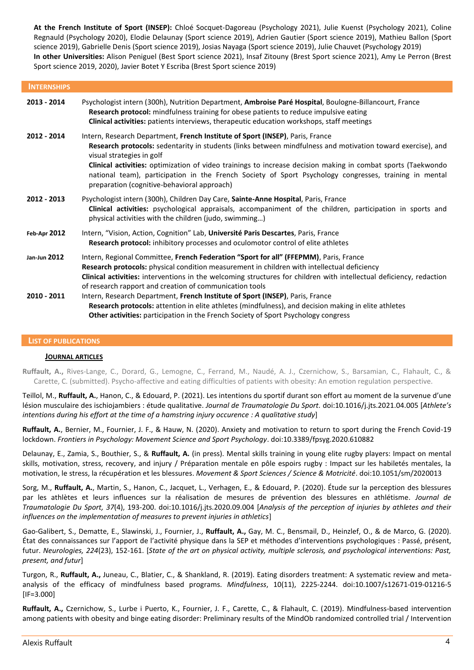**At the French Institute of Sport (INSEP):** Chloé Socquet-Dagoreau (Psychology 2021), Julie Kuenst (Psychology 2021), Coline Regnauld (Psychology 2020), Elodie Delaunay (Sport science 2019), Adrien Gautier (Sport science 2019), Mathieu Ballon (Sport science 2019), Gabrielle Denis (Sport science 2019), Josias Nayaga (Sport science 2019), Julie Chauvet (Psychology 2019) **In other Universities:** Alison Peniguel (Best Sport science 2021), Insaf Zitouny (Brest Sport science 2021), Amy Le Perron (Brest Sport science 2019, 2020), Javier Botet Y Escriba (Brest Sport science 2019)

| <b>INTERNSHIPS</b> |                                                                                                                                                                                                                                                                                                                                                                                                                                                                                                    |
|--------------------|----------------------------------------------------------------------------------------------------------------------------------------------------------------------------------------------------------------------------------------------------------------------------------------------------------------------------------------------------------------------------------------------------------------------------------------------------------------------------------------------------|
| 2013 - 2014        | Psychologist intern (300h), Nutrition Department, Ambroise Paré Hospital, Boulogne-Billancourt, France<br>Research protocol: mindfulness training for obese patients to reduce impulsive eating<br><b>Clinical activities:</b> patients interviews, therapeutic education workshops, staff meetings                                                                                                                                                                                                |
| 2012 - 2014        | Intern, Research Department, French Institute of Sport (INSEP), Paris, France<br>Research protocols: sedentarity in students (links between mindfulness and motivation toward exercise), and<br>visual strategies in golf<br>Clinical activities: optimization of video trainings to increase decision making in combat sports (Taekwondo<br>national team), participation in the French Society of Sport Psychology congresses, training in mental<br>preparation (cognitive-behavioral approach) |
| 2012 - 2013        | Psychologist intern (300h), Children Day Care, Sainte-Anne Hospital, Paris, France<br>Clinical activities: psychological appraisals, accompaniment of the children, participation in sports and<br>physical activities with the children (judo, swimming)                                                                                                                                                                                                                                          |
| Feb-Apr 2012       | Intern, "Vision, Action, Cognition" Lab, Université Paris Descartes, Paris, France<br><b>Research protocol:</b> inhibitory processes and oculomotor control of elite athletes                                                                                                                                                                                                                                                                                                                      |
| Jan-Jun 2012       | Intern, Regional Committee, French Federation "Sport for all" (FFEPMM), Paris, France<br>Research protocols: physical condition measurement in children with intellectual deficiency<br>Clinical activities: interventions in the welcoming structures for children with intellectual deficiency, redaction<br>of research rapport and creation of communication tools                                                                                                                             |
| 2010 - 2011        | Intern, Research Department, French Institute of Sport (INSEP), Paris, France<br>Research protocols: attention in elite athletes (mindfulness), and decision making in elite athletes<br>Other activities: participation in the French Society of Sport Psychology congress                                                                                                                                                                                                                        |

#### **LIST OF PUBLICATIONS**

#### **JOURNAL ARTICLES**

**Ruffault, A.,** Rives-Lange, C., Dorard, G., Lemogne, C., Ferrand, M., Naudé, A. J., Czernichow, S., Barsamian, C., Flahault, C., & Carette, C. (submitted). Psycho-affective and eating difficulties of patients with obesity: An emotion regulation perspective.

Teillol, M., **Ruffault, A.**, Hanon, C., & Edouard, P. (2021). Les intentions du sportif durant son effort au moment de la survenue d'une lésion musculaire des ischiojambiers : étude qualitative. *Journal de Traumatologie Du Sport.* doi:10.1016/j.jts.2021.04.005 [*Athlete's intentions during his effort at the time of a hamstring injury occurence : A qualitative study*]

**Ruffault, A.**, Bernier, M., Fournier, J. F., & Hauw, N. (2020). Anxiety and motivation to return to sport during the French Covid-19 lockdown. *Frontiers in Psychology: Movement Science and Sport Psychology*. doi:10.3389/fpsyg.2020.610882

Delaunay, E., Zamia, S., Bouthier, S., & **Ruffault, A.** (in press). Mental skills training in young elite rugby players: Impact on mental skills, motivation, stress, recovery, and injury / Préparation mentale en pôle espoirs rugby : Impact sur les habiletés mentales, la motivation, le stress, la récupération et les blessures. *Movement & Sport Sciences / Science & Motricité*. doi:10.1051/sm/2020013

Sorg, M., **Ruffault, A.**, Martin, S., Hanon, C., Jacquet, L., Verhagen, E., & Edouard, P. (2020). Étude sur la perception des blessures par les athlètes et leurs influences sur la réalisation de mesures de prévention des blessures en athlétisme. *Journal de Traumatologie Du Sport, 37*(4), 193-200. doi:10.1016/j.jts.2020.09.004 [*Analysis of the perception of injuries by athletes and their influences on the implementation of measures to prevent injuries in athletics*]

Gao-Galibert, S., Dematte, E., Slawinski, J., Fournier, J., **Ruffault, A.,** Gay, M. C., Bensmail, D., Heinzlef, O., & de Marco, G. (2020). État des connaissances sur l'apport de l'activité physique dans la SEP et méthodes d'interventions psychologiques : Passé, présent, futur. *Neurologies, 224*(23), 152-161. [*State of the art on physical activity, multiple sclerosis, and psychological interventions: Past, present, and futur*]

Turgon, R., **Ruffault, A.,** Juneau, C., Blatier, C., & Shankland, R. (2019). Eating disorders treatment: A systematic review and metaanalysis of the efficacy of mindfulness based programs. *Mindfulness*, 10(11), 2225-2244. doi:10.1007/s12671-019-01216-5  $[IF=3.000]$ 

**Ruffault, A.,** Czernichow, S., Lurbe i Puerto, K., Fournier, J. F., Carette, C., & Flahault, C. (2019). Mindfulness-based intervention among patients with obesity and binge eating disorder: Preliminary results of the MindOb randomized controlled trial / Intervention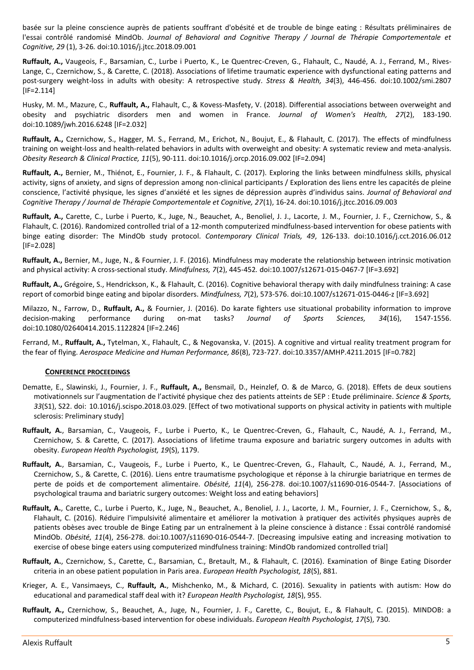basée sur la pleine conscience auprès de patients souffrant d'obésité et de trouble de binge eating : Résultats préliminaires de l'essai contrôlé randomisé MindOb. *Journal of Behavioral and Cognitive Therapy / Journal de Thérapie Comportementale et Cognitive, 29* (1), 3-26*.* doi:10.1016/j.jtcc.2018.09.001

**Ruffault, A.,** Vaugeois, F., Barsamian, C., Lurbe i Puerto, K., Le Quentrec-Creven, G., Flahault, C., Naudé, A. J., Ferrand, M., Rives-Lange, C., Czernichow, S., & Carette, C. (2018). Associations of lifetime traumatic experience with dysfunctional eating patterns and post-surgery weight-loss in adults with obesity: A retrospective study. *Stress & Health, 34*(3), 446-456. doi:10.1002/smi.2807 [IF=2.114]

Husky, M. M., Mazure, C., **Ruffault, A.,** Flahault, C., & Kovess-Masfety, V. (2018). Differential associations between overweight and obesity and psychiatric disorders men and women in France. *Journal of Women's Health, 27*(2), 183-190. doi:10.1089/jwh.2016.6248 [IF=2.032]

**Ruffault, A.,** Czernichow, S., Hagger, M. S., Ferrand, M., Erichot, N., Boujut, E., & Flahault, C. (2017). The effects of mindfulness training on weight-loss and health-related behaviors in adults with overweight and obesity: A systematic review and meta-analysis. *Obesity Research & Clinical Practice, 11*(5), 90-111. doi:10.1016/j.orcp.2016.09.002 [IF=2.094]

**Ruffault, A.,** Bernier, M., Thiénot, E., Fournier, J. F., & Flahault, C. (2017). Exploring the links between mindfulness skills, physical activity, signs of anxiety, and signs of depression among non-clinical participants / Exploration des liens entre les capacités de pleine conscience, l'activité physique, les signes d'anxiété et les signes de dépression auprès d'individus sains. *Journal of Behavioral and Cognitive Therapy / Journal de Thérapie Comportementale et Cognitive, 27*(1), 16-24. doi:10.1016/j.jtcc.2016.09.003

**Ruffault, A.,** Carette, C., Lurbe i Puerto, K., Juge, N., Beauchet, A., Benoliel, J. J., Lacorte, J. M., Fournier, J. F., Czernichow, S., & Flahault, C. (2016). Randomized controlled trial of a 12-month computerized mindfulness-based intervention for obese patients with binge eating disorder: The MindOb study protocol. *Contemporary Clinical Trials, 49*, 126-133. doi:10.1016/j.cct.2016.06.012  $[IF=2.028]$ 

**Ruffault, A.,** Bernier, M., Juge, N., & Fournier, J. F. (2016). Mindfulness may moderate the relationship between intrinsic motivation and physical activity: A cross-sectional study. *Mindfulness, 7*(2), 445-452*.* doi:10.1007/s12671-015-0467-7 [IF=3.692]

**Ruffault, A.,** Grégoire, S., Hendrickson, K., & Flahault, C. (2016). Cognitive behavioral therapy with daily mindfulness training: A case report of comorbid binge eating and bipolar disorders. *Mindfulness, 7*(2), 573-576. doi:10.1007/s12671-015-0446-z [IF=3.692]

Milazzo, N., Farrow, D., **Ruffault, A.,** & Fournier, J. (2016). Do karate fighters use situational probability information to improve decision-making performance during on-mat tasks? *Journal of Sports Sciences, 34*(16), 1547-1556. doi:10.1080/02640414.2015.1122824 [IF=2.246]

Ferrand, M., **Ruffault, A.,** Tytelman, X., Flahault, C., & Negovanska, V. (2015). A cognitive and virtual reality treatment program for the fear of flying. *Aerospace Medicine and Human Performance, 86*(8), 723-727. doi:10.3357/AMHP.4211.2015 [IF=0.782]

### **CONFERENCE PROCEEDINGS**

- Dematte, E., Slawinski, J., Fournier, J. F., **Ruffault, A.,** Bensmail, D., Heinzlef, O. & de Marco, G. (2018). Effets de deux soutiens motivationnels sur l'augmentation de l'activité physique chez des patients atteints de SEP : Etude préliminaire. *Science & Sports, 33*(S1), S22. doi: 10.1016/j.scispo.2018.03.029. [Effect of two motivational supports on physical activity in patients with multiple sclerosis: Preliminary study]
- **Ruffault, A.**, Barsamian, C., Vaugeois, F., Lurbe i Puerto, K., Le Quentrec-Creven, G., Flahault, C., Naudé, A. J., Ferrand, M., Czernichow, S. & Carette, C. (2017). Associations of lifetime trauma exposure and bariatric surgery outcomes in adults with obesity. *European Health Psychologist, 19*(S), 1179.
- **Ruffault, A.**, Barsamian, C., Vaugeois, F., Lurbe i Puerto, K., Le Quentrec-Creven, G., Flahault, C., Naudé, A. J., Ferrand, M., Czernichow, S., & Carette, C. (2016). Liens entre traumatisme psychologique et réponse à la chirurgie bariatrique en termes de perte de poids et de comportement alimentaire. *Obésité, 11*(4), 256-278. doi:10.1007/s11690-016-0544-7. [Associations of psychological trauma and bariatric surgery outcomes: Weight loss and eating behaviors]
- **Ruffault, A.**, Carette, C., Lurbe i Puerto, K., Juge, N., Beauchet, A., Benoliel, J. J., Lacorte, J. M., Fournier, J. F., Czernichow, S., &, Flahault, C. (2016). Réduire l'impulsivité alimentaire et améliorer la motivation à pratiquer des activités physiques auprès de patients obèses avec trouble de Binge Eating par un entraînement à la pleine conscience à distance : Essai contrôlé randomisé MindOb. *Obésité, 11*(4), 256-278. doi:10.1007/s11690-016-0544-7. [Decreasing impulsive eating and increasing motivation to exercise of obese binge eaters using computerized mindfulness training: MindOb randomized controlled trial]
- **Ruffault, A.**, Czernichow, S., Carette, C., Barsamian, C., Bretault, M., & Flahault, C. (2016). Examination of Binge Eating Disorder criteria in an obese patient population in Paris area. *European Health Psychologist, 18*(S), 881.
- Krieger, A. E., Vansimaeys, C., **Ruffault, A.**, Mishchenko, M., & Michard, C. (2016). Sexuality in patients with autism: How do educational and paramedical staff deal with it? *European Health Psychologist, 18*(S), 955.
- **Ruffault, A.,** Czernichow, S., Beauchet, A., Juge, N., Fournier, J. F., Carette, C., Boujut, E., & Flahault, C. (2015). MINDOB: a computerized mindfulness-based intervention for obese individuals. *European Health Psychologist, 17*(S), 730.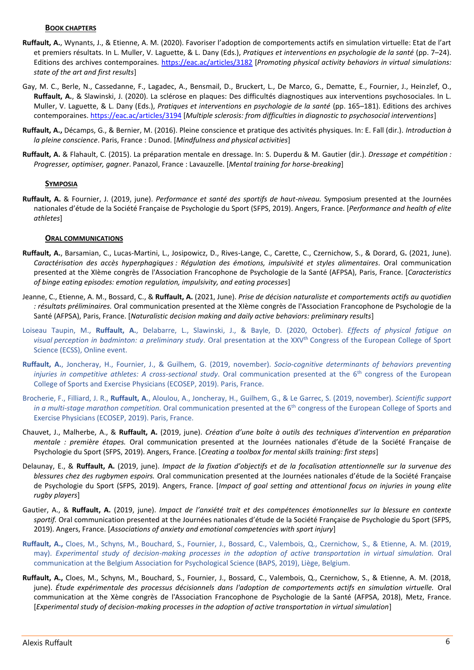#### **BOOK CHAPTERS**

- **Ruffault, A.**, Wynants, J., & Etienne, A. M. (2020). Favoriser l'adoption de comportements actifs en simulation virtuelle: Etat de l'art et premiers résultats. In L. Muller, V. Laguette, & L. Dany (Eds.), *Pratiques et interventions en psychologie de la santé* (pp. 7–24). Editions des archives contemporaines.<https://eac.ac/articles/3182> [*Promoting physical activity behaviors in virtual simulations: state of the art and first results*]
- Gay, M. C., Berle, N., Cassedanne, F., Lagadec, A., Bensmail, D., Bruckert, L., De Marco, G., Dematte, E., Fournier, J., Heinzlef, O., **Ruffault, A.**, & Slawinski, J. (2020). La sclérose en plaques: Des difficultés diagnostiques aux interventions psychosociales. In L. Muller, V. Laguette, & L. Dany (Eds.), *Pratiques et interventions en psychologie de la santé* (pp. 165–181). Editions des archives contemporaines[. https://eac.ac/articles/3194](https://eac.ac/articles/3194) [*Multiple sclerosis: from difficulties in diagnostic to psychosocial interventions*]
- **Ruffault, A.,** Décamps, G., & Bernier, M. (2016). Pleine conscience et pratique des activités physiques. In: E. Fall (dir.). *Introduction à la pleine conscience*. Paris, France : Dunod. [*Mindfulness and physical activities*]
- **Ruffault, A.** & Flahault, C. (2015). La préparation mentale en dressage. In: S. Duperdu & M. Gautier (dir.). *Dressage et compétition : Progresser, optimiser, gagner*. Panazol, France : Lavauzelle. [*Mental training for horse-breaking*]

#### **SYMPOSIA**

**Ruffault, A.** & Fournier, J. (2019, june). *Performance et santé des sportifs de haut-niveau.* Symposium presented at the Journées nationales d'étude de la Société Française de Psychologie du Sport (SFPS, 2019). Angers, France. [*Performance and health of elite athletes*]

#### **ORAL COMMUNICATIONS**

- **Ruffault, A.**, Barsamian, C., Lucas-Martini, L., Josipowicz, D., Rives-Lange, C., Carette, C., Czernichow, S., & Dorard, G**.** (2021, June). *Caractérisation des accès hyperphagiques : Régulation des émotions, impulsivité et styles alimentaires.* Oral communication presented at the XIème congrès de l'Association Francophone de Psychologie de la Santé (AFPSA), Paris, France. [*Caracteristics of binge eating episodes: emotion regulation, impulsivity, and eating processes*]
- Jeanne, C., Etienne, A. M., Bossard, C., & **Ruffault, A.** (2021, June). *Prise de décision naturaliste et comportements actifs au quotidien : résultats préliminaires.* Oral communication presented at the XIème congrès de l'Association Francophone de Psychologie de la Santé (AFPSA), Paris, France. [*Naturalistic decision making and daily active behaviors: preliminary results*]
- Loiseau Taupin, M., **Ruffault, A.**, Delabarre, L., Slawinski, J., & Bayle, D. (2020, October). *Effects of physical fatigue on visual perception in badminton: a preliminary study*. Oral presentation at the XXV<sup>th</sup> Congress of the European College of Sport Science (ECSS), Online event.
- **Ruffault, A.**, Joncheray, H., Fournier, J., & Guilhem, G. (2019, november). *Socio-cognitive determinants of behaviors preventing injuries in competitive athletes: A cross-sectional study*. Oral communication presented at the 6<sup>th</sup> congress of the European College of Sports and Exercise Physicians (ECOSEP, 2019). Paris, France.
- Brocherie, F., Filliard, J. R., **Ruffault, A.**, Aloulou, A., Joncheray, H., Guilhem, G., & Le Garrec, S. (2019, november). *Scientific support in a multi-stage marathon competition.* Oral communication presented at the 6<sup>th</sup> congress of the European College of Sports and Exercise Physicians (ECOSEP, 2019). Paris, France.
- Chauvet, J., Malherbe, A., & **Ruffault, A.** (2019, june). *Création d'une boîte à outils des techniques d'intervention en préparation mentale : première étapes.* Oral communication presented at the Journées nationales d'étude de la Société Française de Psychologie du Sport (SFPS, 2019). Angers, France. [*Creating a toolbox for mental skills training: first steps*]
- Delaunay, E., & **Ruffault, A.** (2019, june). *Impact de la fixation d'objectifs et de la focalisation attentionnelle sur la survenue des blessures chez des rugbymen espoirs.* Oral communication presented at the Journées nationales d'étude de la Société Française de Psychologie du Sport (SFPS, 2019). Angers, France. [*Impact of goal setting and attentional focus on injuries in young elite rugby players*]
- Gautier, A., & **Ruffault, A.** (2019, june). *Impact de l'anxiété trait et des compétences émotionnelles sur la blessure en contexte sportif.* Oral communication presented at the Journées nationales d'étude de la Société Française de Psychologie du Sport (SFPS, 2019). Angers, France. [*Associations of anxiety and emotional competencies with sport injury*]
- **Ruffault, A.,** Cloes, M., Schyns, M., Bouchard, S., Fournier, J., Bossard, C., Valembois, Q., Czernichow, S., & Etienne, A. M. (2019, may). *Experimental study of decision-making processes in the adoption of active transportation in virtual simulation.* Oral communication at the Belgium Association for Psychological Science (BAPS, 2019), Liège, Belgium.
- **Ruffault, A.,** Cloes, M., Schyns, M., Bouchard, S., Fournier, J., Bossard, C., Valembois, Q., Czernichow, S., & Etienne, A. M. (2018, june). *Étude expérimentale des processus décisionnels dans l'adoption de comportements actifs en simulation virtuelle.* Oral communication at the Xème congrès de l'Association Francophone de Psychologie de la Santé (AFPSA, 2018), Metz, France. [*Experimental study of decision-making processes in the adoption of active transportation in virtual simulation*]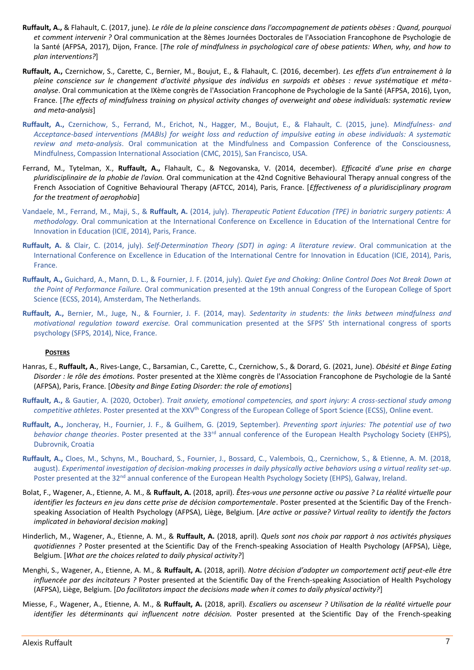- **Ruffault, A.,** & Flahault, C. (2017, june). *Le rôle de la pleine conscience dans l'accompagnement de patients obèses : Quand, pourquoi et comment intervenir ?* Oral communication at the 8èmes Journées Doctorales de l'Association Francophone de Psychologie de la Santé (AFPSA, 2017), Dijon, France. [*The role of mindfulness in psychological care of obese patients: When, why, and how to plan interventions?*]
- **Ruffault, A.,** Czernichow, S., Carette, C., Bernier, M., Boujut, E., & Flahault, C. (2016, december). *Les effets d'un entrainement à la pleine conscience sur le changement d'activité physique des individus en surpoids et obèses : revue systématique et métaanalyse*. Oral communication at the IXème congrès de l'Association Francophone de Psychologie de la Santé (AFPSA, 2016), Lyon, France. [*The effects of mindfulness training on physical activity changes of overweight and obese individuals: systematic review and meta-analysis*]
- **Ruffault, A.,** Czernichow, S., Ferrand, M., Erichot, N., Hagger, M., Boujut, E., & Flahault, C. (2015, june). *Mindfulness- and Acceptance-based interventions (MABIs) for weight loss and reduction of impulsive eating in obese individuals: A systematic review and meta-analysis*. Oral communication at the Mindfulness and Compassion Conference of the Consciousness, Mindfulness, Compassion International Association (CMC, 2015), San Francisco, USA.
- Ferrand, M., Tytelman, X., **Ruffault, A.,** Flahault, C., & Negovanska, V. (2014, december). *Efficacité d'une prise en charge pluridisciplinaire de la phobie de l'avion.* Oral communication at the 42nd Cognitive Behavioural Therapy annual congress of the French Association of Cognitive Behavioural Therapy (AFTCC, 2014), Paris, France. [*Effectiveness of a pluridisciplinary program for the treatment of aerophobia*]
- Vandaele, M., Ferrand, M., Maji, S., & **Ruffault, A.** (2014, july). *Therapeutic Patient Education (TPE) in bariatric surgery patients: A methodology.* Oral communication at the International Conference on Excellence in Education of the International Centre for Innovation in Education (ICIE, 2014), Paris, France.
- **Ruffault, A.** & Clair, C. (2014, july). *Self-Determination Theory (SDT) in aging: A literature review*. Oral communication at the International Conference on Excellence in Education of the International Centre for Innovation in Education (ICIE, 2014), Paris, France.
- **Ruffault, A.,** Guichard, A., Mann, D. L., & Fournier, J. F. (2014, july). *Quiet Eye and Choking: Online Control Does Not Break Down at the Point of Performance Failure.* Oral communication presented at the 19th annual Congress of the European College of Sport Science (ECSS, 2014), Amsterdam, The Netherlands.
- **Ruffault, A.,** Bernier, M., Juge, N., & Fournier, J. F. (2014, may). *Sedentarity in students: the links between mindfulness and motivational regulation toward exercise.* Oral communication presented at the SFPS' 5th international congress of sports psychology (SFPS, 2014), Nice, France.

#### **POSTERS**

- Hanras, E., **Ruffault, A.**, Rives-Lange, C., Barsamian, C., Carette, C., Czernichow, S., & Dorard, G. (2021, June). *Obésité et Binge Eating Disorder : le rôle des émotions.* Poster presented at the XIème congrès de l'Association Francophone de Psychologie de la Santé (AFPSA), Paris, France. [*Obesity and Binge Eating Disorder: the role of emotions*]
- **Ruffault, A.,** & Gautier, A. (2020, October). *Trait anxiety, emotional competencies, and sport injury: A cross-sectional study among competitive athletes*. Poster presented at the XXV<sup>th</sup> Congress of the European College of Sport Science (ECSS), Online event.
- **Ruffault, A.,** Joncheray, H., Fournier, J. F., & Guilhem, G. (2019, September). *Preventing sport injuries: The potential use of two behavior change theories*. Poster presented at the 33<sup>rd</sup> annual conference of the European Health Psychology Society (EHPS), Dubrovnik, Croatia
- **Ruffault, A.,** Cloes, M., Schyns, M., Bouchard, S., Fournier, J., Bossard, C., Valembois, Q., Czernichow, S., & Etienne, A. M. (2018, august). *Experimental investigation of decision-making processes in daily physically active behaviors using a virtual reality set-up*. Poster presented at the 32<sup>nd</sup> annual conference of the European Health Psychology Society (EHPS), Galway, Ireland.
- Bolat, F., Wagener, A., Etienne, A. M., & **Ruffault, A.** (2018, april). *Êtes-vous une personne active ou passive ? La réalité virtuelle pour identifier les facteurs en jeu dans cette prise de décision comportementale*. Poster presented at the Scientific Day of the Frenchspeaking Association of Health Psychology (AFPSA), Liège, Belgium. [*Are active or passive? Virtual reality to identify the factors implicated in behavioral decision making*]
- Hinderlich, M., Wagener, A., Etienne, A. M., & **Ruffault, A.** (2018, april). *Quels sont nos choix par rapport à nos activités physiques quotidiennes ?* Poster presented at the Scientific Day of the French-speaking Association of Health Psychology (AFPSA), Liège, Belgium. [*What are the choices related to daily physical activity?*]
- Menghi, S., Wagener, A., Etienne, A. M., & **Ruffault, A.** (2018, april). *Notre décision d'adopter un comportement actif peut-elle être influencée par des incitateurs ?* Poster presented at the Scientific Day of the French-speaking Association of Health Psychology (AFPSA), Liège, Belgium. [*Do facilitators impact the decisions made when it comes to daily physical activity?*]
- Miesse, F., Wagener, A., Etienne, A. M., & **Ruffault, A.** (2018, april). *Escaliers ou ascenseur ? Utilisation de la réalité virtuelle pour identifier les déterminants qui influencent notre décision.* Poster presented at the Scientific Day of the French-speaking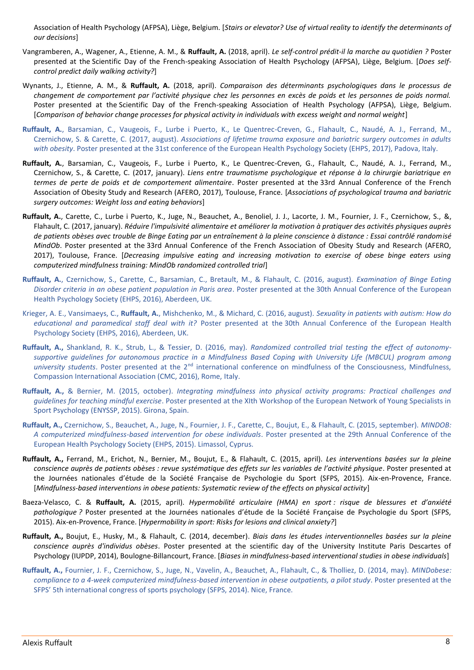Association of Health Psychology (AFPSA), Liège, Belgium. [*Stairs or elevator? Use of virtual reality to identify the determinants of our decisions*]

- Vangramberen, A., Wagener, A., Etienne, A. M., & **Ruffault, A.** (2018, april). *Le self-control prédit-il la marche au quotidien ?* Poster presented at the Scientific Day of the French-speaking Association of Health Psychology (AFPSA), Liège, Belgium. [*Does selfcontrol predict daily walking activity?*]
- Wynants, J., Etienne, A. M., & **Ruffault, A.** (2018, april). *Comparaison des déterminants psychologiques dans le processus de changement de comportement par l'activité physique chez les personnes en excès de poids et les personnes de poids normal.*  Poster presented at the Scientific Day of the French-speaking Association of Health Psychology (AFPSA), Liège, Belgium. [*Comparison of behavior change processes for physical activity in individuals with excess weight and normal weight*]
- **Ruffault, A.**, Barsamian, C., Vaugeois, F., Lurbe i Puerto, K., Le Quentrec-Creven, G., Flahault, C., Naudé, A. J., Ferrand, M., Czernichow, S. & Carette, C. (2017, august). *Associations of lifetime trauma exposure and bariatric surgery outcomes in adults with obesity*. Poster presented at the 31st conference of the European Health Psychology Society (EHPS, 2017), Padova, Italy.
- **Ruffault, A.**, Barsamian, C., Vaugeois, F., Lurbe i Puerto, K., Le Quentrec-Creven, G., Flahault, C., Naudé, A. J., Ferrand, M., Czernichow, S., & Carette, C. (2017, january). *Liens entre traumatisme psychologique et réponse à la chirurgie bariatrique en termes de perte de poids et de comportement alimentaire*. Poster presented at the 33rd Annual Conference of the French Association of Obesity Study and Research (AFERO, 2017), Toulouse, France. [*Associations of psychological trauma and bariatric surgery outcomes: Weight loss and eating behaviors*]
- **Ruffault, A.**, Carette, C., Lurbe i Puerto, K., Juge, N., Beauchet, A., Benoliel, J. J., Lacorte, J. M., Fournier, J. F., Czernichow, S., &, Flahault, C. (2017, january). *Réduire l'impulsivité alimentaire et améliorer la motivation à pratiquer des activités physiques auprès de patients obèses avec trouble de Binge Eating par un entraînement à la pleine conscience à distance : Essai contrôlé randomisé MindOb*. Poster presented at the 33rd Annual Conference of the French Association of Obesity Study and Research (AFERO, 2017), Toulouse, France. [*Decreasing impulsive eating and increasing motivation to exercise of obese binge eaters using computerized mindfulness training: MindOb randomized controlled trial*]
- **Ruffault, A.**, Czernichow, S., Carette, C., Barsamian, C., Bretault, M., & Flahault, C. (2016, august). *Examination of Binge Eating Disorder criteria in an obese patient population in Paris area*. Poster presented at the 30th Annual Conference of the European Health Psychology Society (EHPS, 2016), Aberdeen, UK.
- Krieger, A. E., Vansimaeys, C., **Ruffault, A.**, Mishchenko, M., & Michard, C. (2016, august). *Sexuality in patients with autism: How do educational and paramedical staff deal with it?* Poster presented at the 30th Annual Conference of the European Health Psychology Society (EHPS, 2016), Aberdeen, UK.
- **Ruffault, A.,** Shankland, R. K., Strub, L., & Tessier, D. (2016, may). *Randomized controlled trial testing the effect of autonomysupportive guidelines for autonomous practice in a Mindfulness Based Coping with University Life (MBCUL) program among university students*. Poster presented at the 2<sup>nd</sup> international conference on mindfulness of the Consciousness, Mindfulness, Compassion International Association (CMC, 2016), Rome, Italy.
- **Ruffault, A.,** & Bernier, M. (2015, october). *Integrating mindfulness into physical activity programs: Practical challenges and guidelines for teaching mindful exercise*. Poster presented at the XIth Workshop of the European Network of Young Specialists in Sport Psychology (ENYSSP, 2015). Girona, Spain.
- **Ruffault, A.,** Czernichow, S., Beauchet, A., Juge, N., Fournier, J. F., Carette, C., Boujut, E., & Flahault, C. (2015, september). *MINDOB: A computerized mindfulness-based intervention for obese individuals*. Poster presented at the 29th Annual Conference of the European Health Psychology Society (EHPS, 2015). Limassol, Cyprus.
- **Ruffault, A.,** Ferrand, M., Erichot, N., Bernier, M., Boujut, E., & Flahault, C. (2015, april). *Les interventions basées sur la pleine conscience auprès de patients obèses : revue systématique des effets sur les variables de l'activité physique*. Poster presented at the Journées nationales d'étude de la Société Française de Psychologie du Sport (SFPS, 2015). Aix-en-Provence, France. [*Mindfulness-based interventions in obese patients: Systematic review of the effects on physical activity*]
- Baeza-Velasco, C. & **Ruffault, A.** (2015, april). *Hypermobilité articulaire (HMA) en sport : risque de blessures et d'anxiété pathologique ?* Poster presented at the Journées nationales d'étude de la Société Française de Psychologie du Sport (SFPS, 2015). Aix-en-Provence, France. [*Hypermobility in sport: Risks for lesions and clinical anxiety?*]
- **Ruffault, A.,** Boujut, E., Husky, M., & Flahault, C. (2014, december). *Biais dans les études interventionnelles basées sur la pleine conscience auprès d'individus obèses*. Poster presented at the scientific day of the University Institute Paris Descartes of Psychology (IUPDP, 2014), Boulogne-Billancourt, France. [*Biases in mindfulness-based interventional studies in obese individuals*]
- **Ruffault, A.,** Fournier, J. F., Czernichow, S., Juge, N., Vavelin, A., Beauchet, A., Flahault, C., & Tholliez, D. (2014, may). *MINDobese: compliance to a 4-week computerized mindfulness-based intervention in obese outpatients, a pilot study*. Poster presented at the SFPS' 5th international congress of sports psychology (SFPS, 2014). Nice, France.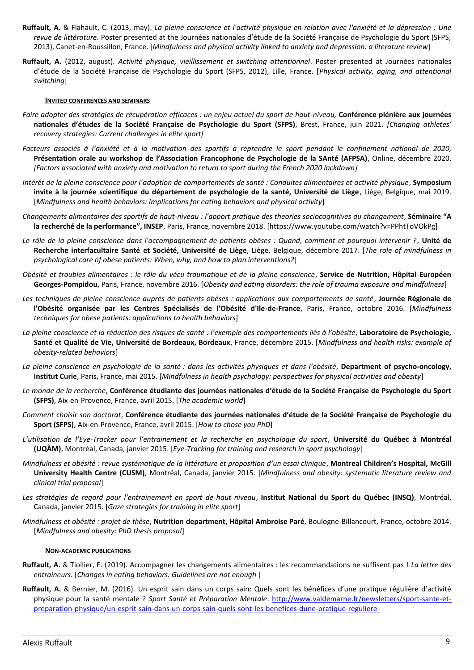- **Ruffault, A.** & Flahault, C. (2013, may). *La pleine conscience et l'activité physique en relation avec l'anxiété et la dépression : Une revue de littérature*. Poster presented at the Journées nationales d'étude de la Société Française de Psychologie du Sport (SFPS, 2013), Canet-en-Roussillon, France. [*Mindfulness and physical activity linked to anxiety and depression: a literature review*]
- **Ruffault, A.** (2012, august). *Activité physique, vieillissement et switching attentionnel*. Poster presented at Journées nationales d'étude de la Société Française de Psychologie du Sport (SFPS, 2012), Lille, France. [*Physical activity, aging, and attentional switching*]

#### **INVITED CONFERENCES AND SEMINARS**

- *Faire adopter des stratégies de récupération efficaces : un enjeu actuel du sport de haut-niveau,* **Conférence plénière aux journées nationales d'études de la Société Française de Psychologie du Sport (SFPS)**, Brest, France, juin 2021. *[Changing athletes' recovery strategies: Current challenges in elite sport]*
- *Facteurs associés à l'anxiété et à la motivation des sportifs à reprendre le sport pendant le confinement national de 2020,*  **Présentation orale au workshop de l'Association Francophone de Psychologie de la SAnté (AFPSA)**, Online, décembre 2020. *[Factors associated with anxiety and motivation to return to sport during the French 2020 lockdown]*
- *Intérêt de la pleine conscience pour l'adoption de comportements de santé : Conduites alimentaires et activité physique*, **Symposium invite à la journée scientifique du département de psychologie de la santé, Université de Liège**, Liège, Belgique, mai 2019. [*Mindfulness and health behaviors: Implications for eating behaviors and physical activity*]
- *Changements alimentaires des sportifs de haut-niveau : l'apport pratique des theories sociocognitives du changement*, **Séminaire "A la recherché de la performance", INSEP**, Paris, France, novembre 2018. [https://www.youtube.com/watch?v=PPhtToVOkPg]
- *Le rôle de la pleine conscience dans l'accompagnement de patients obèses : Quand, comment et pourquoi intervenir ?*, **Unité de Recherche interfacultaire Santé et Société, Université de Liège**, Liège, Belgique, décembre 2017. [*The role of mindfulness in psychological care of obese patients: When, why, and how to plan interventions?*]
- *Obésité et troubles alimentaires : le rôle du vécu traumatique et de la pleine conscience*, **Service de Nutrition, Hôpital Européen Georges-Pompidou**, Paris, France, novembre 2016. [*Obesity and eating disorders: the role of trauma exposure and mindfulness*]
- *Les techniques de pleine conscience auprès de patients obèses : applications aux comportements de santé*, **Journée Régionale de l'Obésité organisée par les Centres Spécialisés de l'Obésité d'Ile-de-France**, Paris, France, octobre 2016. [*Mindfulness techniques for obese patients: applications to health behaviors*]
- *La pleine conscience et la réduction des risques de santé : l'exemple des comportements liés à l'obésité*, **Laboratoire de Psychologie, Santé et Qualité de Vie, Université de Bordeaux, Bordeaux**, France, décembre 2015. [*Mindfulness and health risks: example of obesity-related behaviors*]
- *La pleine conscience en psychologie de la santé : dans les activités physiques et dans l'obésité*, **Department of psycho-oncology, Institut Curie**, Paris, France, mai 2015. [*Mindfulness in health psychology: perspectives for physical activities and obesity*]
- *Le monde de la recherche*, **Conférence étudiante des journées nationales d'étude de la Société Française de Psychologie du Sport (SFPS)**, Aix-en-Provence, France, avril 2015. [*The academic world*]
- *Comment choisir son doctorat*, **Conférence étudiante des journées nationales d'étude de la Société Française de Psychologie du Sport (SFPS)**, Aix-en-Provence, France, avril 2015. [*How to chose you PhD*]
- *L'utilisation de l'Eye-Tracker pour l'entrainement et la recherche en psychologie du sport*, **Université du Québec à Montréal (UQÀM)**, Montréal, Canada, janvier 2015. [*Eye-Tracking for training and research in sport psychology*]
- *Mindfulness et obésité : revue systématique de la littérature et proposition d'un essai clinique*, **Montreal Children's Hospital, McGill University Health Centre (CUSM)**, Montréal, Canada, janvier 2015. [*Mindfulness and obesity: systematic literature review and clinical trial proposal*]
- *Les stratégies de regard pour l'entrainement en sport de haut niveau*, **Institut National du Sport du Québec (INSQ)**, Montréal, Canada, janvier 2015. [*Gaze strategies for training in elite sport*]
- *Mindfulness et obésité : projet de thèse*, **Nutrition department, Hôpital Ambroise Paré**, Boulogne-Billancourt, France, octobre 2014. [*Mindfulness and obesity: PhD thesis proposal*]

#### **NON-ACADEMIC PUBLICATIONS**

- **Ruffault, A.** & Tiollier, E. (2019). Accompagner les changements alimentaires : les recommandations ne suffisent pas ! *La lettre des entraineurs*. [*Changes in eating behaviors: Guidelines are not enough* ]
- **Ruffault, A.** & Bernier, M. (2016). Un esprit sain dans un corps sain: Quels sont les bénéfices d'une pratique régulière d'activité physique pour la santé mentale ? *Sport Santé et Préparation Mentale*. [http://www.valdemarne.fr/newsletters/sport-sante-et](http://www.valdemarne.fr/newsletters/sport-sante-et-preparation-physique/un-esprit-sain-dans-un-corps-sain-quels-sont-les-benefices-dune-pratique-reguliere-dactivite?utm_source=newsletter&utm_medium=email&utm_campaign=envoi_2098)[preparation-physique/un-esprit-sain-dans-un-corps-sain-quels-sont-les-benefices-dune-pratique-reguliere-](http://www.valdemarne.fr/newsletters/sport-sante-et-preparation-physique/un-esprit-sain-dans-un-corps-sain-quels-sont-les-benefices-dune-pratique-reguliere-dactivite?utm_source=newsletter&utm_medium=email&utm_campaign=envoi_2098)